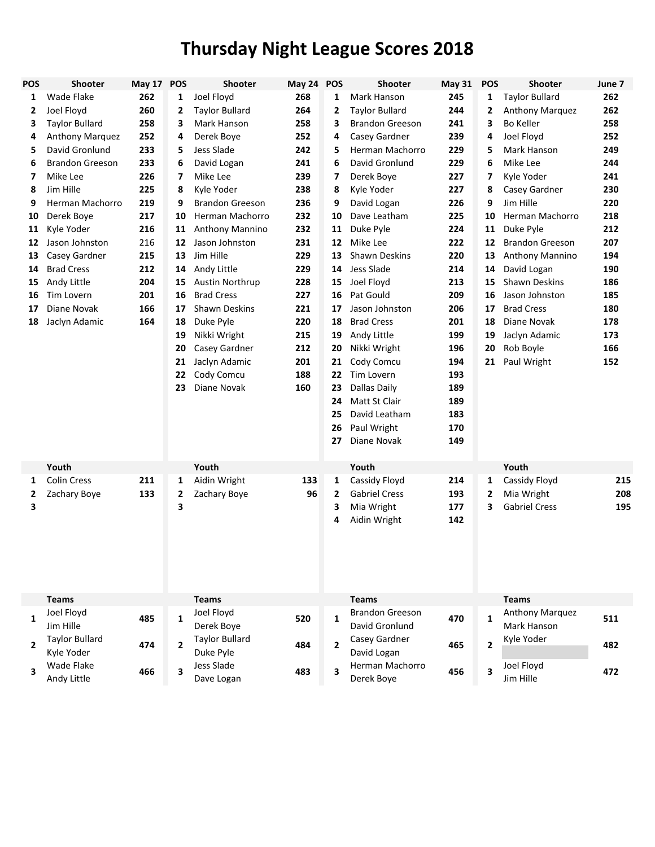## **Thursday Night League Scores 2018**

| <b>POS</b>     | Shooter                             | May 17 POS |                | <b>Shooter</b>                     | May 24 POS |                         | <b>Shooter</b>                           | <b>May 31</b> | <b>POS</b>              | <b>Shooter</b>                 | June 7 |
|----------------|-------------------------------------|------------|----------------|------------------------------------|------------|-------------------------|------------------------------------------|---------------|-------------------------|--------------------------------|--------|
| 1              | Wade Flake                          | 262        | 1              | Joel Floyd                         | 268        | 1                       | Mark Hanson                              | 245           | 1                       | <b>Taylor Bullard</b>          | 262    |
| 2              | Joel Floyd                          | 260        | 2              | <b>Taylor Bullard</b>              | 264        | 2                       | <b>Taylor Bullard</b>                    | 244           | $\mathbf{2}$            | Anthony Marquez                | 262    |
| 3              | <b>Taylor Bullard</b>               | 258        | 3              | Mark Hanson                        | 258        | 3                       | <b>Brandon Greeson</b>                   | 241           | 3                       | Bo Keller                      | 258    |
| 4              | Anthony Marquez                     | 252        | 4              | Derek Boye                         | 252        | 4                       | Casey Gardner                            | 239           | 4                       | Joel Floyd                     | 252    |
| 5              | David Gronlund                      | 233        | 5              | Jess Slade                         | 242        | 5                       | Herman Machorro                          | 229           | 5                       | Mark Hanson                    | 249    |
| 6              | <b>Brandon Greeson</b>              | 233        | 6              | David Logan                        | 241        | 6                       | David Gronlund                           | 229           | 6                       | Mike Lee                       | 244    |
| 7              | Mike Lee                            | 226        | 7              | Mike Lee                           | 239        | 7                       | Derek Boye                               | 227           | 7                       | Kyle Yoder                     | 241    |
| 8              | Jim Hille                           | 225        | 8              | Kyle Yoder                         | 238        | 8                       | Kyle Yoder                               | 227           | 8                       | Casey Gardner                  | 230    |
| 9              | Herman Machorro                     | 219        | 9              | <b>Brandon Greeson</b>             | 236        | 9                       | David Logan                              | 226           | 9                       | Jim Hille                      | 220    |
| 10             | Derek Boye                          | 217        | 10             | Herman Machorro                    | 232        | 10                      | Dave Leatham                             | 225           | 10                      | Herman Machorro                | 218    |
| 11             | Kyle Yoder                          | 216        | 11             | Anthony Mannino                    | 232        | 11                      | Duke Pyle                                | 224           | 11                      | Duke Pyle                      | 212    |
| 12             | Jason Johnston                      | 216        | 12             | Jason Johnston                     | 231        | 12                      | Mike Lee                                 | 222           | 12                      | <b>Brandon Greeson</b>         | 207    |
| 13             | Casey Gardner                       | 215        | 13             | Jim Hille                          | 229        | 13                      | Shawn Deskins                            | 220           | 13                      | Anthony Mannino                | 194    |
| 14             | <b>Brad Cress</b>                   | 212        | 14             | Andy Little                        | 229        | 14                      | Jess Slade                               | 214           | 14                      | David Logan                    | 190    |
| 15             | Andy Little                         | 204        | 15             | Austin Northrup                    | 228        | 15                      | Joel Floyd                               | 213           | 15                      | Shawn Deskins                  | 186    |
| 16             | Tim Lovern                          | 201        | 16             | <b>Brad Cress</b>                  | 227        | 16                      | Pat Gould                                | 209           | 16                      | Jason Johnston                 | 185    |
| 17             | Diane Novak                         | 166        | 17             | <b>Shawn Deskins</b>               | 221        | 17                      | Jason Johnston                           | 206           | 17                      | <b>Brad Cress</b>              | 180    |
| 18             | Jaclyn Adamic                       | 164        | 18             | Duke Pyle                          | 220        | 18                      | <b>Brad Cress</b>                        | 201           | 18                      | Diane Novak                    | 178    |
|                |                                     |            | 19             | Nikki Wright                       | 215        | 19                      | Andy Little                              | 199           | 19                      | Jaclyn Adamic                  | 173    |
|                |                                     |            | 20             | Casey Gardner                      | 212        | 20                      | Nikki Wright                             | 196           | 20                      | Rob Boyle                      | 166    |
|                |                                     |            | 21             | Jaclyn Adamic                      | 201        | 21                      | Cody Comcu                               | 194           | 21                      | Paul Wright                    | 152    |
|                |                                     |            | 22             | Cody Comcu                         | 188        | 22                      | Tim Lovern                               | 193           |                         |                                |        |
|                |                                     |            | 23             | Diane Novak                        | 160        | 23                      | Dallas Daily                             | 189           |                         |                                |        |
|                |                                     |            |                |                                    |            | 24                      | Matt St Clair                            | 189           |                         |                                |        |
|                |                                     |            |                |                                    |            | 25                      | David Leatham                            | 183           |                         |                                |        |
|                |                                     |            |                |                                    |            | 26                      | Paul Wright                              | 170           |                         |                                |        |
|                |                                     |            |                |                                    |            | 27                      | Diane Novak                              | 149           |                         |                                |        |
|                | Youth                               |            |                | Youth                              |            |                         | Youth                                    |               |                         | Youth                          |        |
| 1              | <b>Colin Cress</b>                  | 211        | 1              | Aidin Wright                       | 133        | 1                       | Cassidy Floyd                            | 214           | 1                       | Cassidy Floyd                  | 215    |
| 2              | Zachary Boye                        | 133        | 2              | Zachary Boye                       | 96         | 2                       | <b>Gabriel Cress</b>                     | 193           | 2                       | Mia Wright                     | 208    |
| 3              |                                     |            | 3              |                                    |            | 3                       | Mia Wright                               | 177           | 3                       | <b>Gabriel Cress</b>           | 195    |
|                |                                     |            |                |                                    |            | 4                       | Aidin Wright                             | 142           |                         |                                |        |
|                |                                     |            |                |                                    |            |                         |                                          |               |                         |                                |        |
|                | <b>Teams</b>                        |            |                | <b>Teams</b>                       |            |                         | <b>Teams</b>                             |               |                         | <b>Teams</b>                   |        |
| 1              | Joel Floyd<br>Jim Hille             | 485        | $\mathbf{1}$   | Joel Floyd<br>Derek Boye           | 520        | $\mathbf{1}$            | <b>Brandon Greeson</b><br>David Gronlund | 470           | $\mathbf{1}$            | Anthony Marquez<br>Mark Hanson | 511    |
| $\overline{2}$ | <b>Taylor Bullard</b><br>Kyle Yoder | 474        | $\overline{2}$ | <b>Taylor Bullard</b><br>Duke Pyle | 484        | $\overline{2}$          | Casey Gardner<br>David Logan             | 465           | $\overline{2}$          | Kyle Yoder                     | 482    |
| 3              | Wade Flake<br>Andy Little           | 466        | 3              | Jess Slade<br>Dave Logan           | 483        | $\overline{\mathbf{3}}$ | Herman Machorro<br>Derek Boye            | 456           | $\overline{\mathbf{3}}$ | Joel Floyd<br>Jim Hille        | 472    |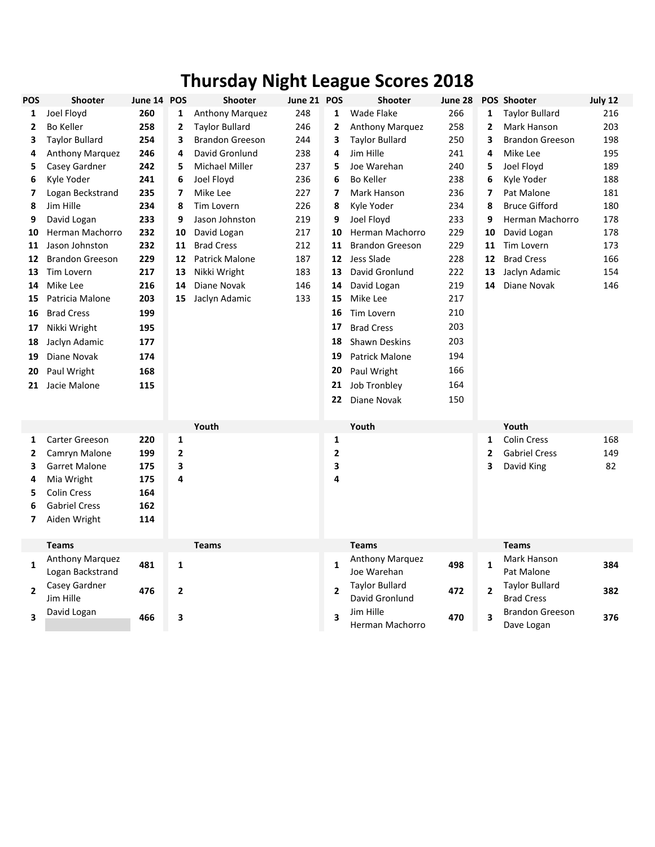## **Thursday Night League Scores 2018**

| POS            | <b>Shooter</b>         | June 14 POS |                         | Shooter                | June 21 POS |                         | <b>Shooter</b>               | June 28 |                          | <b>POS Shooter</b>                   | July 12 |
|----------------|------------------------|-------------|-------------------------|------------------------|-------------|-------------------------|------------------------------|---------|--------------------------|--------------------------------------|---------|
| 1              | Joel Floyd             | 260         | 1                       | Anthony Marquez        | 248         | $\mathbf{1}$            | Wade Flake                   | 266     | $\mathbf{1}$             | <b>Taylor Bullard</b>                | 216     |
| 2              | <b>Bo Keller</b>       | 258         | 2                       | <b>Taylor Bullard</b>  | 246         | 2                       | <b>Anthony Marquez</b>       | 258     | 2                        | Mark Hanson                          | 203     |
| 3              | <b>Taylor Bullard</b>  | 254         | 3                       | <b>Brandon Greeson</b> | 244         | 3                       | <b>Taylor Bullard</b>        | 250     | 3                        | <b>Brandon Greeson</b>               | 198     |
| 4              | <b>Anthony Marquez</b> | 246         | 4                       | David Gronlund         | 238         | 4                       | Jim Hille                    | 241     | 4                        | Mike Lee                             | 195     |
| 5              | Casey Gardner          | 242         | 5                       | Michael Miller         | 237         | 5                       | Joe Warehan                  | 240     | 5                        | Joel Floyd                           | 189     |
| 6              | Kyle Yoder             | 241         | 6                       | Joel Floyd             | 236         | 6                       | Bo Keller                    | 238     | 6                        | Kyle Yoder                           | 188     |
| 7              | Logan Beckstrand       | 235         | $\overline{\mathbf{z}}$ | Mike Lee               | 227         | 7                       | Mark Hanson                  | 236     | $\overline{\phantom{a}}$ | Pat Malone                           | 181     |
| 8              | Jim Hille              | 234         | 8                       | Tim Lovern             | 226         | 8                       | Kyle Yoder                   | 234     | 8                        | <b>Bruce Gifford</b>                 | 180     |
| 9              | David Logan            | 233         | 9                       | Jason Johnston         | 219         | 9                       | Joel Floyd                   | 233     | 9                        | Herman Machorro                      | 178     |
| 10             | Herman Machorro        | 232         | 10                      | David Logan            | 217         | 10                      | Herman Machorro              | 229     | 10                       | David Logan                          | 178     |
| 11             | Jason Johnston         | 232         | 11                      | <b>Brad Cress</b>      | 212         | 11                      | <b>Brandon Greeson</b>       | 229     | 11                       | Tim Lovern                           | 173     |
| 12             | <b>Brandon Greeson</b> | 229         | 12                      | Patrick Malone         | 187         | 12                      | Jess Slade                   | 228     | 12                       | <b>Brad Cress</b>                    | 166     |
| 13             | <b>Tim Lovern</b>      | 217         | 13                      | Nikki Wright           | 183         | 13                      | David Gronlund               | 222     | 13                       | Jaclyn Adamic                        | 154     |
| 14             | Mike Lee               | 216         | 14                      | Diane Novak            | 146         | 14                      | David Logan                  | 219     | 14                       | Diane Novak                          | 146     |
| 15             | Patricia Malone        | 203         | 15                      | Jaclyn Adamic          | 133         | 15                      | Mike Lee                     | 217     |                          |                                      |         |
| 16             | <b>Brad Cress</b>      | 199         |                         |                        |             | 16                      | Tim Lovern                   | 210     |                          |                                      |         |
| 17             | Nikki Wright           | 195         |                         |                        |             | 17                      | <b>Brad Cress</b>            | 203     |                          |                                      |         |
| 18             | Jaclyn Adamic          | 177         |                         |                        |             | 18                      | Shawn Deskins                | 203     |                          |                                      |         |
| 19             | Diane Novak            | 174         |                         |                        |             | 19                      | Patrick Malone               | 194     |                          |                                      |         |
| 20             | Paul Wright            | 168         |                         |                        |             | 20                      | Paul Wright                  | 166     |                          |                                      |         |
| 21             | Jacie Malone           | 115         |                         |                        |             | 21                      | Job Tronbley                 | 164     |                          |                                      |         |
|                |                        |             |                         |                        |             | 22                      | Diane Novak                  | 150     |                          |                                      |         |
|                |                        |             |                         |                        |             |                         |                              |         |                          |                                      |         |
|                |                        |             |                         | Youth                  |             |                         | Youth                        |         |                          | Youth                                |         |
| 1              | Carter Greeson         | 220         | 1                       |                        |             | 1                       |                              |         | 1                        | <b>Colin Cress</b>                   | 168     |
| 2              | Camryn Malone          | 199         | 2                       |                        |             | $\overline{\mathbf{2}}$ |                              |         | $\overline{2}$           | <b>Gabriel Cress</b>                 | 149     |
| 3              | Garret Malone          | 175         | 3                       |                        |             | 3                       |                              |         | 3                        | David King                           | 82      |
| 4              | Mia Wright             | 175         | 4                       |                        |             | 4                       |                              |         |                          |                                      |         |
| 5              | <b>Colin Cress</b>     | 164         |                         |                        |             |                         |                              |         |                          |                                      |         |
| 6              | <b>Gabriel Cress</b>   | 162         |                         |                        |             |                         |                              |         |                          |                                      |         |
| 7              | Aiden Wright           | 114         |                         |                        |             |                         |                              |         |                          |                                      |         |
|                |                        |             |                         |                        |             |                         |                              |         |                          |                                      |         |
|                | <b>Teams</b>           |             |                         | <b>Teams</b>           |             |                         | <b>Teams</b>                 |         |                          | <b>Teams</b>                         |         |
| 1              | Anthony Marquez        | 481         | 1                       |                        |             | $\mathbf{1}$            | Anthony Marquez              | 498     | 1                        | Mark Hanson                          | 384     |
|                | Logan Backstrand       |             |                         |                        |             |                         | Joe Warehan                  |         |                          | Pat Malone                           |         |
| $\overline{2}$ | Casey Gardner          | 476         | $\overline{2}$          |                        |             | $\mathbf{2}$            | <b>Taylor Bullard</b>        | 472     | $\mathbf{2}$             | <b>Taylor Bullard</b>                | 382     |
|                | Jim Hille              |             |                         |                        |             |                         | David Gronlund               |         |                          | <b>Brad Cress</b>                    |         |
| 3              | David Logan            | 466         | 3                       |                        |             | 3                       | Jim Hille<br>Herman Machorro | 470     | 3                        | <b>Brandon Greeson</b><br>Dave Logan | 376     |